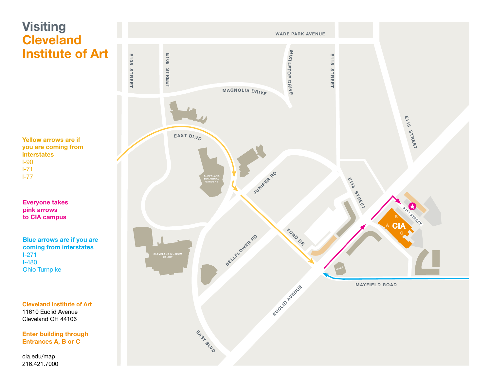

216.421.7000